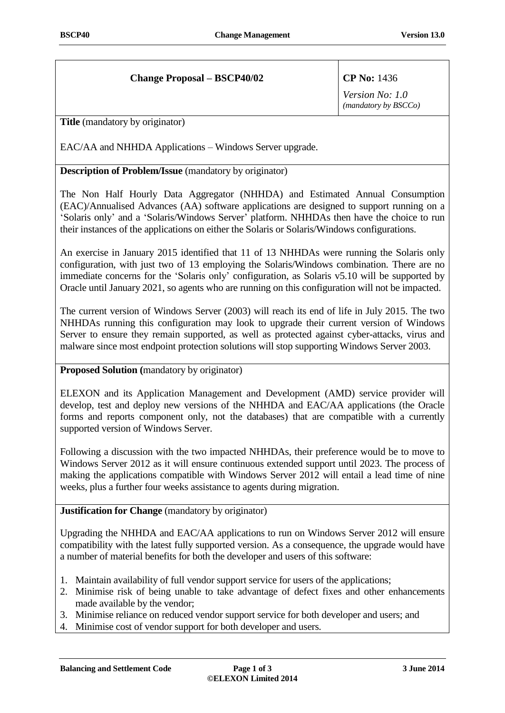## **Change Proposal – BSCP40/02 CP No:** 1436

*Version No: 1.0 (mandatory by BSCCo)*

**Title** (mandatory by originator)

EAC/AA and NHHDA Applications – Windows Server upgrade.

## **Description of Problem/Issue** (mandatory by originator)

The Non Half Hourly Data Aggregator (NHHDA) and Estimated Annual Consumption (EAC)/Annualised Advances (AA) software applications are designed to support running on a 'Solaris only' and a 'Solaris/Windows Server' platform. NHHDAs then have the choice to run their instances of the applications on either the Solaris or Solaris/Windows configurations.

An exercise in January 2015 identified that 11 of 13 NHHDAs were running the Solaris only configuration, with just two of 13 employing the Solaris/Windows combination. There are no immediate concerns for the 'Solaris only' configuration, as Solaris v5.10 will be supported by Oracle until January 2021, so agents who are running on this configuration will not be impacted.

The current version of Windows Server (2003) will reach its end of life in July 2015. The two NHHDAs running this configuration may look to upgrade their current version of Windows Server to ensure they remain supported, as well as protected against cyber-attacks, virus and malware since most endpoint protection solutions will stop supporting Windows Server 2003.

## **Proposed Solution (**mandatory by originator)

ELEXON and its Application Management and Development (AMD) service provider will develop, test and deploy new versions of the NHHDA and EAC/AA applications (the Oracle forms and reports component only, not the databases) that are compatible with a currently supported version of Windows Server.

Following a discussion with the two impacted NHHDAs, their preference would be to move to Windows Server 2012 as it will ensure continuous extended support until 2023. The process of making the applications compatible with Windows Server 2012 will entail a lead time of nine weeks, plus a further four weeks assistance to agents during migration.

**Justification for Change** (mandatory by originator)

Upgrading the NHHDA and EAC/AA applications to run on Windows Server 2012 will ensure compatibility with the latest fully supported version. As a consequence, the upgrade would have a number of material benefits for both the developer and users of this software:

- 1. Maintain availability of full vendor support service for users of the applications;
- 2. Minimise risk of being unable to take advantage of defect fixes and other enhancements made available by the vendor;
- 3. Minimise reliance on reduced vendor support service for both developer and users; and
- 4. Minimise cost of vendor support for both developer and users.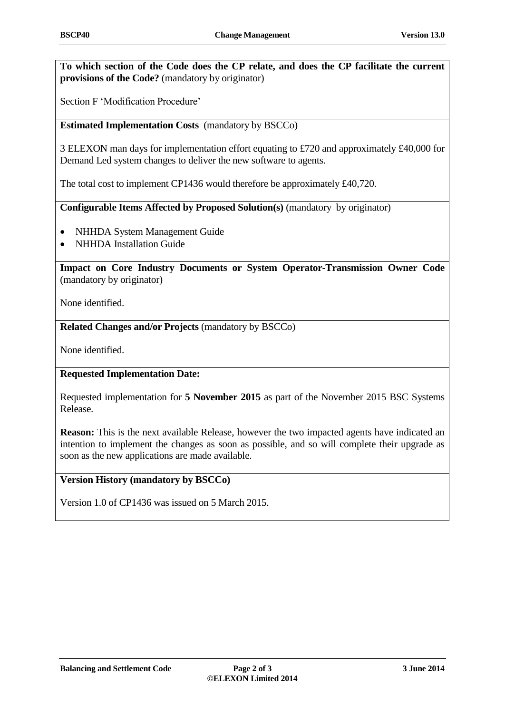**To which section of the Code does the CP relate, and does the CP facilitate the current provisions of the Code?** (mandatory by originator)

Section F 'Modification Procedure'

**Estimated Implementation Costs** (mandatory by BSCCo)

3 ELEXON man days for implementation effort equating to £720 and approximately £40,000 for Demand Led system changes to deliver the new software to agents.

The total cost to implement CP1436 would therefore be approximately £40,720.

**Configurable Items Affected by Proposed Solution(s)** (mandatory by originator)

- NHHDA System Management Guide
- NHHDA Installation Guide

**Impact on Core Industry Documents or System Operator-Transmission Owner Code**  (mandatory by originator)

None identified.

**Related Changes and/or Projects** (mandatory by BSCCo)

None identified.

**Requested Implementation Date:**

Requested implementation for **5 November 2015** as part of the November 2015 BSC Systems Release.

**Reason:** This is the next available Release, however the two impacted agents have indicated an intention to implement the changes as soon as possible, and so will complete their upgrade as soon as the new applications are made available.

## **Version History (mandatory by BSCCo)**

Version 1.0 of CP1436 was issued on 5 March 2015.